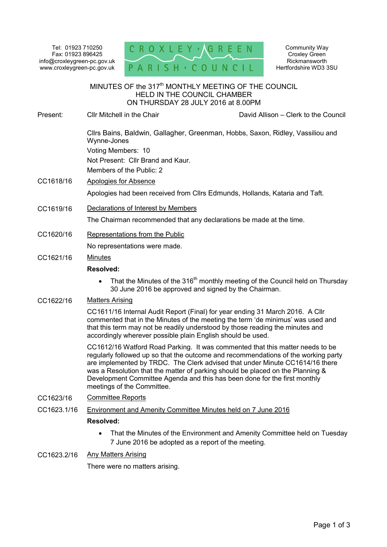Tel: 01923 710250 Fax: 01923 896425 info@croxleygreen-pc.gov.uk www.croxleygreen-pc.gov.uk



Community Way Croxley Green Rickmansworth Hertfordshire WD3 3SU

#### MINUTES OF the 317<sup>th</sup> MONTHLY MEETING OF THE COUNCIL HELD IN THE COUNCIL CHAMBER ON THURSDAY 28 JULY 2016 at 8.00PM ٦

Present: Cllr Mitchell in the Chair David Allison – Clerk to the Council

Cllrs Bains, Baldwin, Gallagher, Greenman, Hobbs, Saxon, Ridley, Vassiliou and Wynne-Jones Voting Members: 10

Not Present: Cllr Brand and Kaur.

Members of the Public: 2

## CC1618/16 Apologies for Absence

Apologies had been received from Cllrs Edmunds, Hollands, Kataria and Taft.

CC1619/16 Declarations of Interest by Members

The Chairman recommended that any declarations be made at the time.

CC1620/16 Representations from the Public

No representations were made.

### CC1621/16 Minutes

## **Resolved:**

• That the Minutes of the 316<sup>th</sup> monthly meeting of the Council held on Thursday 30 June 2016 be approved and signed by the Chairman.

### CC1622/16 Matters Arising

CC1611/16 Internal Audit Report (Final) for year ending 31 March 2016. A Cllr commented that in the Minutes of the meeting the term 'de minimus' was used and that this term may not be readily understood by those reading the minutes and accordingly wherever possible plain English should be used.

CC1612/16 Watford Road Parking. It was commented that this matter needs to be regularly followed up so that the outcome and recommendations of the working party are implemented by TRDC. The Clerk advised that under Minute CC1614/16 there was a Resolution that the matter of parking should be placed on the Planning & Development Committee Agenda and this has been done for the first monthly meetings of the Committee.

- CC1623/16 Committee Reports
- CC1623.1/16 Environment and Amenity Committee Minutes held on 7 June 2016

### **Resolved:**

• That the Minutes of the Environment and Amenity Committee held on Tuesday 7 June 2016 be adopted as a report of the meeting.

### CC1623.2/16 Any Matters Arising

There were no matters arising.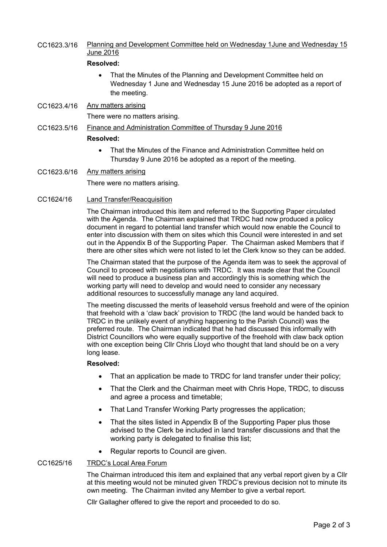# CC1623.3/16 Planning and Development Committee held on Wednesday 1June and Wednesday 15 June 2016

# **Resolved:**

- That the Minutes of the Planning and Development Committee held on Wednesday 1 June and Wednesday 15 June 2016 be adopted as a report of the meeting.
- CC1623.4/16 Any matters arising

There were no matters arising.

- CC1623.5/16 Finance and Administration Committee of Thursday 9 June 2016 **Resolved:** 
	- That the Minutes of the Finance and Administration Committee held on Thursday 9 June 2016 be adopted as a report of the meeting.
- CC1623.6/16 Any matters arising

There were no matters arising.

## CC1624/16 Land Transfer/Reacquisition

The Chairman introduced this item and referred to the Supporting Paper circulated with the Agenda. The Chairman explained that TRDC had now produced a policy document in regard to potential land transfer which would now enable the Council to enter into discussion with them on sites which this Council were interested in and set out in the Appendix B of the Supporting Paper. The Chairman asked Members that if there are other sites which were not listed to let the Clerk know so they can be added.

The Chairman stated that the purpose of the Agenda item was to seek the approval of Council to proceed with negotiations with TRDC. It was made clear that the Council will need to produce a business plan and accordingly this is something which the working party will need to develop and would need to consider any necessary additional resources to successfully manage any land acquired.

The meeting discussed the merits of leasehold versus freehold and were of the opinion that freehold with a 'claw back' provision to TRDC (the land would be handed back to TRDC in the unlikely event of anything happening to the Parish Council) was the preferred route. The Chairman indicated that he had discussed this informally with District Councillors who were equally supportive of the freehold with claw back option with one exception being Cllr Chris Lloyd who thought that land should be on a very long lease.

### **Resolved:**

- That an application be made to TRDC for land transfer under their policy;
- That the Clerk and the Chairman meet with Chris Hope, TRDC, to discuss and agree a process and timetable;
- That Land Transfer Working Party progresses the application;
- That the sites listed in Appendix B of the Supporting Paper plus those advised to the Clerk be included in land transfer discussions and that the working party is delegated to finalise this list;
- Regular reports to Council are given.

### CC1625/16 TRDC's Local Area Forum

The Chairman introduced this item and explained that any verbal report given by a Cllr at this meeting would not be minuted given TRDC's previous decision not to minute its own meeting. The Chairman invited any Member to give a verbal report.

Cllr Gallagher offered to give the report and proceeded to do so.